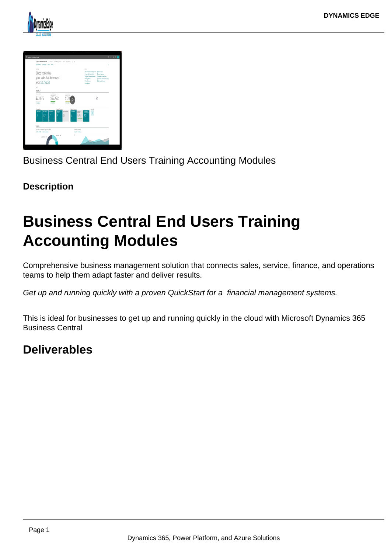



Business Central End Users Training Accounting Modules

### **Description**

# **Business Central End Users Training Accounting Modules**

Comprehensive business management solution that connects sales, service, finance, and operations teams to help them adapt faster and deliver results.

Get up and running quickly with a proven QuickStart for a financial management systems.

This is ideal for businesses to get up and running quickly in the cloud with Microsoft Dynamics 365 Business Central

## **Deliverables**